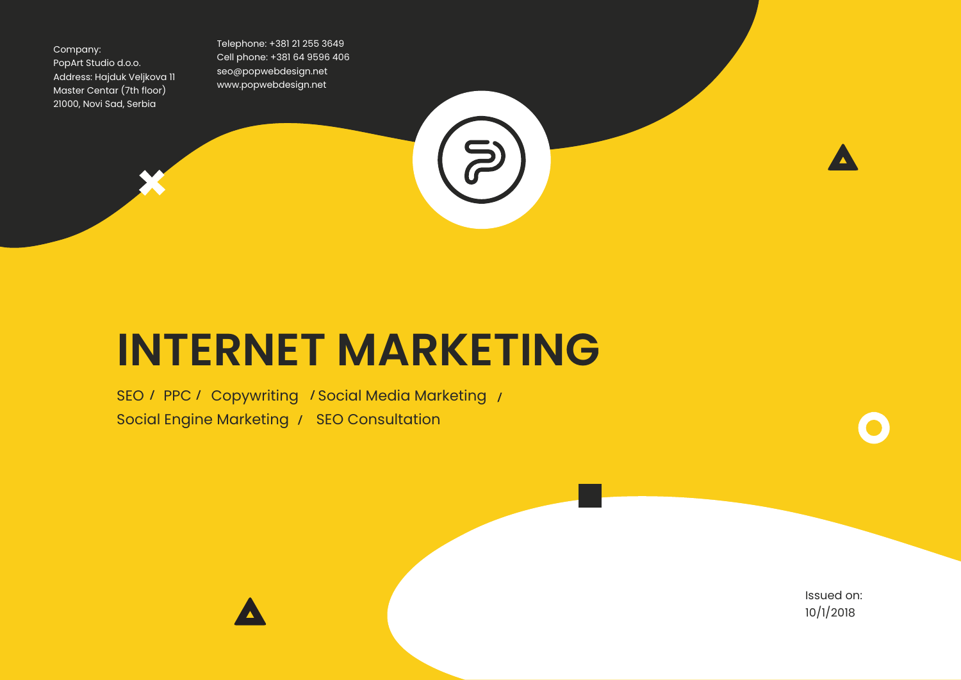Company: PopArt Studio d.o.o. Address: Hajduk Veljkova 11 Master Centar (7th floor) 21000, Novi Sad, Serbia

Telephone: +381 21 255 3649 Cell phone: +381 64 9596 406 seo@popwebdesign.net www.popwebdesign.net

# **INTERNET MARKETING**

SEO / PPC / Copywriting / Social Media Marketing / Social Engine Marketing / SEO Consultation

> Issued on: 10/1/2018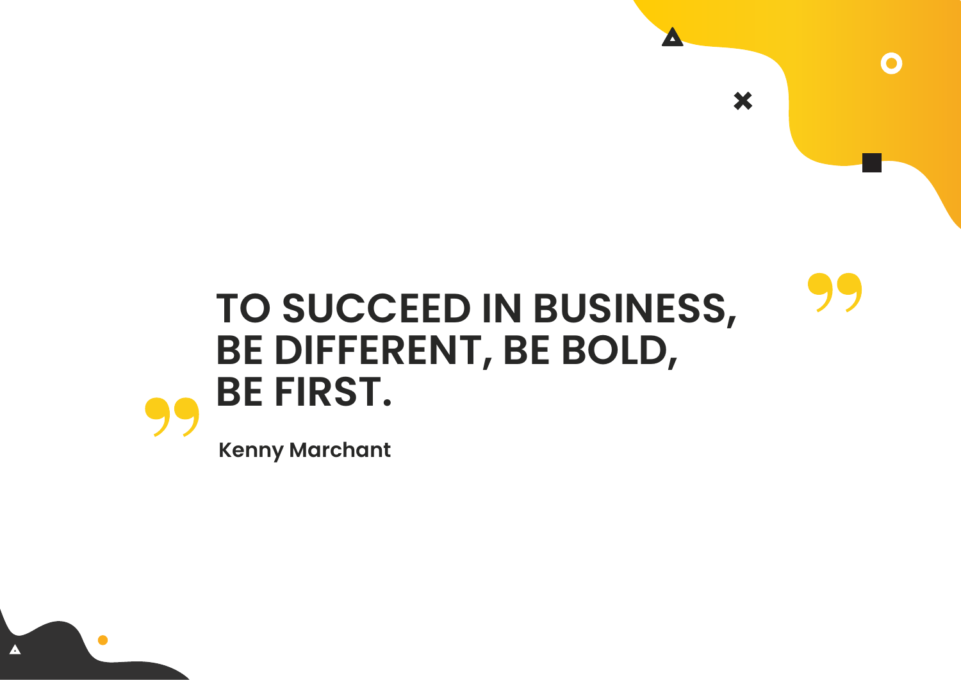# **TO SUCCEED IN BUSINESS, BE DIFFERENT, BE BOLD, BE FIRST.**

Z

×

**Kenny Marchant**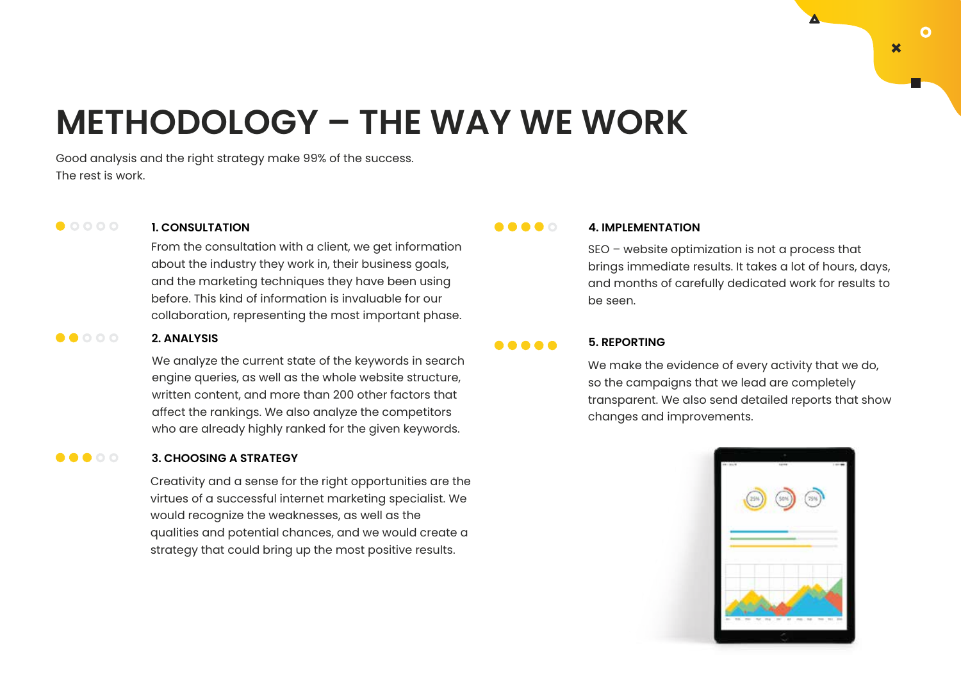## **METHODOLOGY – THE WAY WE WORK**

Good analysis and the right strategy make 99% of the success. The rest is work.

## $00000$

### **1. CONSULTATION**

From the consultation with a client, we get information about the industry they work in, their business goals, and the marketing techniques they have been using before. This kind of information is invaluable for our collaboration, representing the most important phase.

#### $\begin{array}{ccccccccccccc}\n\bullet & \bullet & \bullet & \circ & \circ & \circ\n\end{array}$ **2. ANALYSIS**

We analyze the current state of the keywords in search engine queries, as well as the whole website structure, written content, and more than 200 other factors that affect the rankings. We also analyze the competitors who are already highly ranked for the given keywords.

#### ..... **3. CHOOSING A STRATEGY**

Creativity and a sense for the right opportunities are the virtues of a successful internet marketing specialist. We would recognize the weaknesses, as well as the qualities and potential chances, and we would create a strategy that could bring up the most positive results.

#### ..... **4. IMPLEMENTATION**

SEO – website optimization is not a process that brings immediate results. It takes a lot of hours, days, and months of carefully dedicated work for results to be seen.

#### **5. REPORTING** .....

We make the evidence of every activity that we do, so the campaigns that we lead are completely transparent. We also send detailed reports that show changes and improvements.

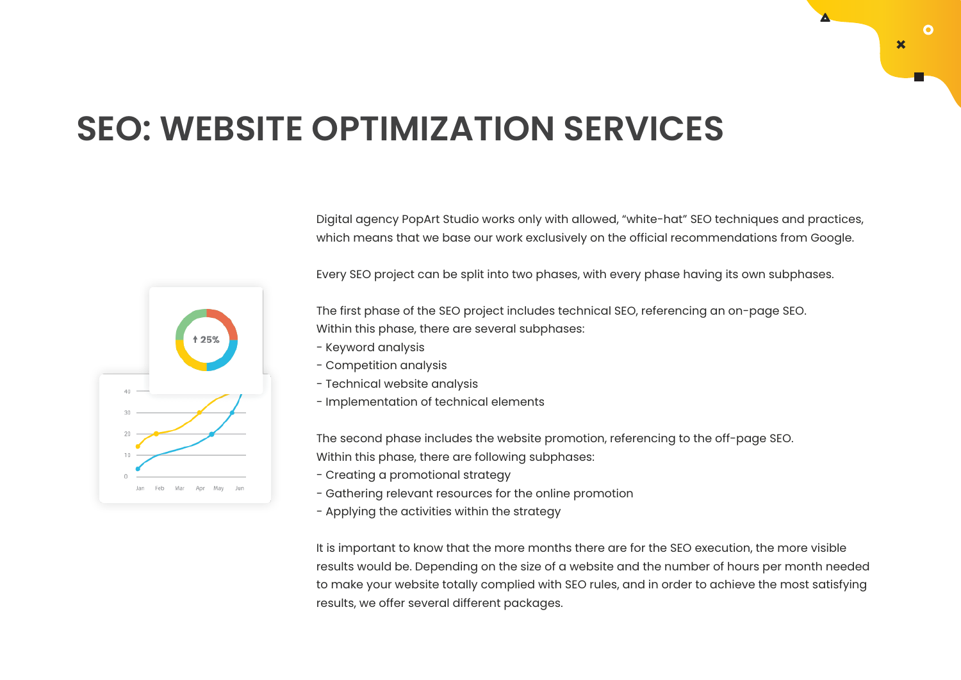

## **SEO: WEBSITE OPTIMIZATION SERVICES**

Digital agency PopArt Studio works only with allowed, "white-hat" SEO techniques and practices, which means that we base our work exclusively on the official recommendations from Google.



Every SEO project can be split into two phases, with every phase having its own subphases.

The first phase of the SEO project includes technical SEO, referencing an on-page SEO. Within this phase, there are several subphases:

- Keyword analysis
- Competition analysis
- Technical website analysis
- Implementation of technical elements

The second phase includes the website promotion, referencing to the off-page SEO. Within this phase, there are following subphases:

- Creating a promotional strategy
- Gathering relevant resources for the online promotion
- Applying the activities within the strategy

It is important to know that the more months there are for the SEO execution, the more visible results would be. Depending on the size of a website and the number of hours per month needed to make your website totally complied with SEO rules, and in order to achieve the most satisfying results, we offer several different packages.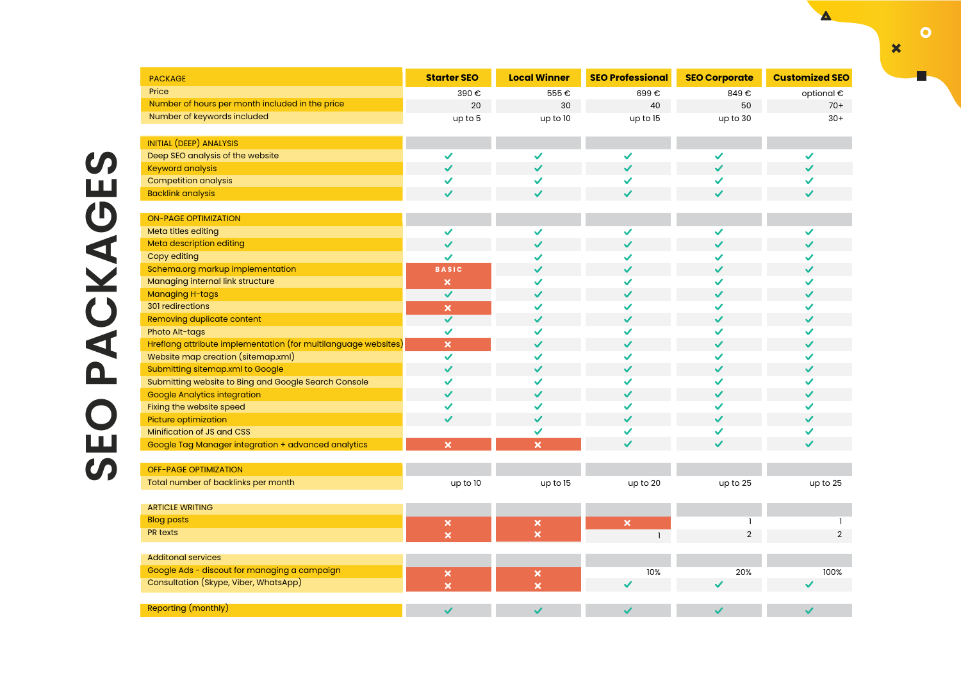| <b>PACKAGE</b>                                                 | <b>Starter SEO</b>      | <b>Local Winner</b>     | <b>SEO Professional</b> | <b>SEO Corporate</b> | <b>Customized SEO</b> |
|----------------------------------------------------------------|-------------------------|-------------------------|-------------------------|----------------------|-----------------------|
| Price                                                          | 390€                    | 555€                    | 699€                    | 849€                 | optional €            |
| Number of hours per month included in the price                | 20                      | 30                      | 40                      | 50                   | $70+$                 |
| Number of keywords included                                    | up to 5                 | up to 10                | up to 15                | up to 30             | $30+$                 |
| <b>INITIAL (DEEP) ANALYSIS</b>                                 |                         |                         |                         |                      |                       |
| Deep SEO analysis of the website                               | $\checkmark$            | ✓                       | $\checkmark$            | $\checkmark$         | $\checkmark$          |
| <b>Keyword analysis</b>                                        | $\checkmark$            | $\checkmark$            | $\checkmark$            | $\checkmark$         | $\checkmark$          |
| <b>Competition analysis</b>                                    | $\checkmark$            | ✓                       | ✓                       | $\checkmark$         | $\checkmark$          |
| <b>Backlink analysis</b>                                       | $\checkmark$            | $\checkmark$            | $\checkmark$            | $\checkmark$         | $\checkmark$          |
| <b>ON-PAGE OPTIMIZATION</b>                                    |                         |                         |                         |                      |                       |
| Meta titles editing                                            | $\checkmark$            | $\checkmark$            | ✓                       | $\checkmark$         | $\checkmark$          |
| Meta description editing                                       | $\checkmark$            | $\checkmark$            | $\checkmark$            | $\checkmark$         | $\checkmark$          |
| Copy editing                                                   | $\checkmark$            | ✓                       | ✓                       | $\checkmark$         | $\checkmark$          |
| Schema.org markup implementation                               | <b>BASIC</b>            | $\checkmark$            | $\checkmark$            | $\checkmark$         | $\checkmark$          |
| Managing internal link structure                               | ×                       | ✓                       | $\checkmark$            | $\checkmark$         | $\checkmark$          |
| <b>Managing H-tags</b>                                         | $\checkmark$            | $\checkmark$            | $\checkmark$            | $\checkmark$         | $\checkmark$          |
| 301 redirections                                               | $\pmb{\times}$          | ✓                       | $\checkmark$            | $\checkmark$         | $\checkmark$          |
| <b>Removing duplicate content</b>                              | $\checkmark$            | $\checkmark$            | $\checkmark$            | $\checkmark$         | $\checkmark$          |
| Photo Alt-tags                                                 | $\checkmark$            | ✓                       | $\checkmark$            | $\checkmark$         | $\checkmark$          |
| Hreflang attribute implementation (for multilanguage websites) | $\pmb{\times}$          | $\checkmark$            | $\checkmark$            | $\checkmark$         | $\checkmark$          |
| Website map creation (sitemap.xml)                             | $\checkmark$            | ✓                       | $\checkmark$            | $\checkmark$         | $\checkmark$          |
| Submitting sitemap.xml to Google                               | $\checkmark$            | $\checkmark$            | $\checkmark$            | $\checkmark$         | $\checkmark$          |
| Submitting website to Bing and Google Search Console           | ✓                       | ✓                       | ✓                       | $\checkmark$         | $\checkmark$          |
| <b>Google Analytics integration</b>                            | $\checkmark$            | $\checkmark$            | $\checkmark$            | $\checkmark$         | $\checkmark$          |
| Fixing the website speed                                       | $\checkmark$            | ✓                       | $\checkmark$            | $\checkmark$         | $\checkmark$          |
| Picture optimization                                           | $\checkmark$            | $\checkmark$            | $\checkmark$            | $\checkmark$         | $\checkmark$          |
| Minification of JS and CSS                                     |                         | ✓                       | ✓                       | $\checkmark$         | $\checkmark$          |
| Google Tag Manager integration + advanced analytics            | $\mathsf{x}$            | $\pmb{\times}$          | $\checkmark$            | $\checkmark$         | $\checkmark$          |
| <b>OFF-PAGE OPTIMIZATION</b>                                   |                         |                         |                         |                      |                       |
| Total number of backlinks per month                            | up to 10                | up to 15                | up to 20                | up to 25             | up to 25              |
| <b>ARTICLE WRITING</b>                                         |                         |                         |                         |                      |                       |
| <b>Blog posts</b>                                              |                         | $\pmb{\times}$          | $\pmb{\times}$          |                      | -1                    |
| PR texts                                                       | $\times$                | $\overline{\mathbf{x}}$ | $\mathbf{1}$            | $\overline{2}$       | $\overline{2}$        |
| <b>Additonal services</b>                                      |                         |                         |                         |                      |                       |
| Google Ads - discout for managing a campaign                   | ×                       | $\pmb{\times}$          | 10%                     | 20%                  | 100%                  |
| Consultation (Skype, Viber, WhatsApp)                          | $\overline{\mathbf{x}}$ | $\overline{\mathbf{x}}$ | $\checkmark$            | $\checkmark$         | $\checkmark$          |
| Reporting (monthly)                                            | $\checkmark$            | $\checkmark$            | $\checkmark$            |                      |                       |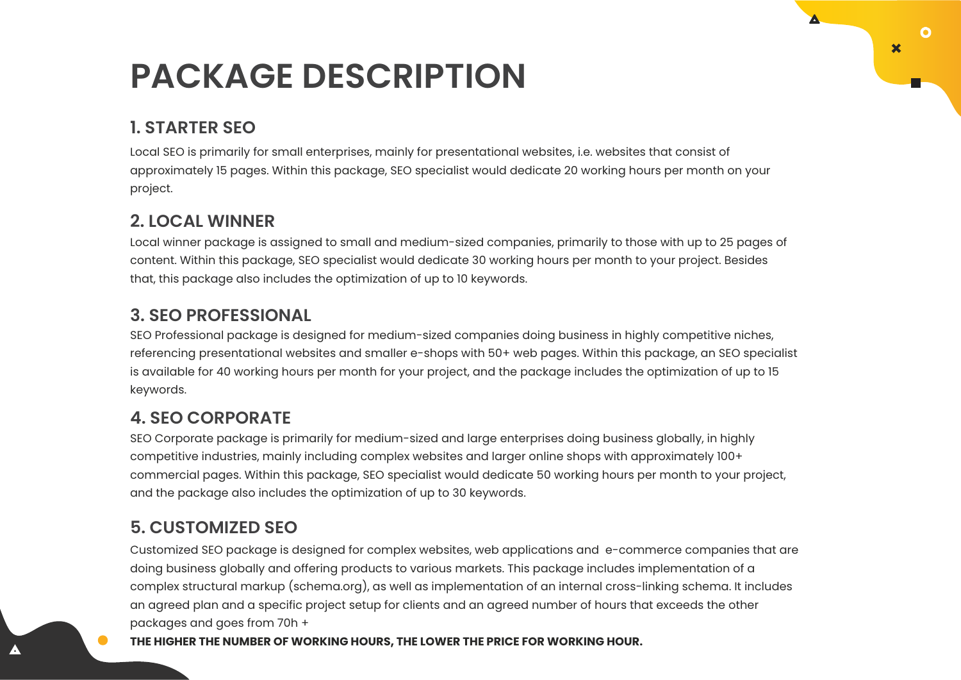## **PACKAGE DESCRIPTION**

## **1. STARTER SEO**

Local SEO is primarily for small enterprises, mainly for presentational websites, i.e. websites that consist of approximately 15 pages. Within this package, SEO specialist would dedicate 20 working hours per month on your project.

 $\Omega$ 

 $\overline{\mathbf{x}}$ 

## **2. LOCAL WINNER**

Local winner package is assigned to small and medium-sized companies, primarily to those with up to 25 pages of content. Within this package, SEO specialist would dedicate 30 working hours per month to your project. Besides that, this package also includes the optimization of up to 10 keywords.

## **3. SEO PROFESSIONAL**

SEO Professional package is designed for medium-sized companies doing business in highly competitive niches, referencing presentational websites and smaller e-shops with 50+ web pages. Within this package, an SEO specialist is available for 40 working hours per month for your project, and the package includes the optimization of up to 15 keywords.

## **4. SEO CORPORATE**

SEO Corporate package is primarily for medium-sized and large enterprises doing business globally, in highly competitive industries, mainly including complex websites and larger online shops with approximately 100+ commercial pages. Within this package, SEO specialist would dedicate 50 working hours per month to your project, and the package also includes the optimization of up to 30 keywords.

## **5. CUSTOMIZED SEO**

Customized SEO package is designed for complex websites, web applications and e-commerce companies that are doing business globally and offering products to various markets. This package includes implementation of a complex structural markup (schema.org), as well as implementation of an internal cross-linking schema. It includes an agreed plan and a specific project setup for clients and an agreed number of hours that exceeds the other packages and goes from 70h +

## **THE HIGHER THE NUMBER OF WORKING HOURS, THE LOWER THE PRICE FOR WORKING HOUR.**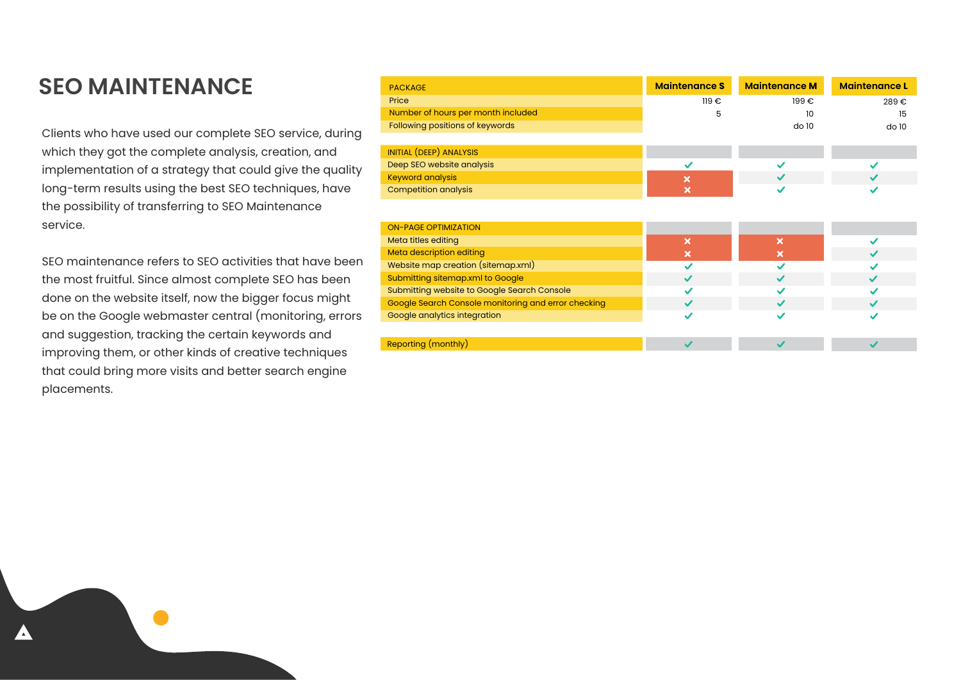## **SEO MAINTENANCE**

Clients who have used our complete SEO service, during which they got the complete analysis, creation, and implementation of a strategy that could give the quality long-term results using the best SEO techniques, have the possibility of transferring to SEO Maintenance service.

SEO maintenance refers to SEO activities that have been the most fruitful. Since almost complete SEO has been done on the website itself, now the bigger focus might be on the Google webmaster central (monitoring, errors and suggestion, tracking the certain keywords and improving them, or other kinds of creative techniques that could bring more visits and better search engine placements.

| <b>PACKAGE</b>                                      | <b>Maintenance S</b>      | <b>Maintenance M</b>      | <b>Maintenance L</b> |
|-----------------------------------------------------|---------------------------|---------------------------|----------------------|
| Price                                               | $119 \in$                 | 199€                      | 289€                 |
| Number of hours per month included                  | 5                         | 10                        | 15                   |
| Following positions of keywords                     |                           | do10                      | do 10                |
|                                                     |                           |                           |                      |
| INITIAL (DEEP) ANALYSIS                             |                           |                           |                      |
| Deep SEO website analysis                           | $\checkmark$              |                           | ✓                    |
| <b>Keyword analysis</b>                             | $\boldsymbol{\mathsf{x}}$ |                           |                      |
| <b>Competition analysis</b>                         | $\boldsymbol{\mathsf{x}}$ |                           | $\checkmark$         |
|                                                     |                           |                           |                      |
| <b>ON-PAGE OPTIMIZATION</b>                         |                           |                           |                      |
| Meta titles editing                                 | $\boldsymbol{\mathsf{x}}$ | $\boldsymbol{\mathsf{x}}$ | ✓                    |
| Meta description editing                            | $\boldsymbol{\mathsf{x}}$ | $\boldsymbol{\mathsf{x}}$ | $\checkmark$         |
| Website map creation (sitemap.xml)                  | $\checkmark$              | ✓                         | ✓                    |
| Submitting sitemap.xml to Google                    | $\checkmark$              | $\checkmark$              | $\checkmark$         |
| Submitting website to Google Search Console         |                           |                           |                      |
| Google Search Console monitoring and error checking | $\checkmark$              | $\checkmark$              | $\checkmark$         |
| Google analytics integration                        | ✓                         |                           | ✓                    |
|                                                     |                           |                           |                      |
| Reporting (monthly)                                 | $\checkmark$              |                           |                      |
|                                                     |                           |                           |                      |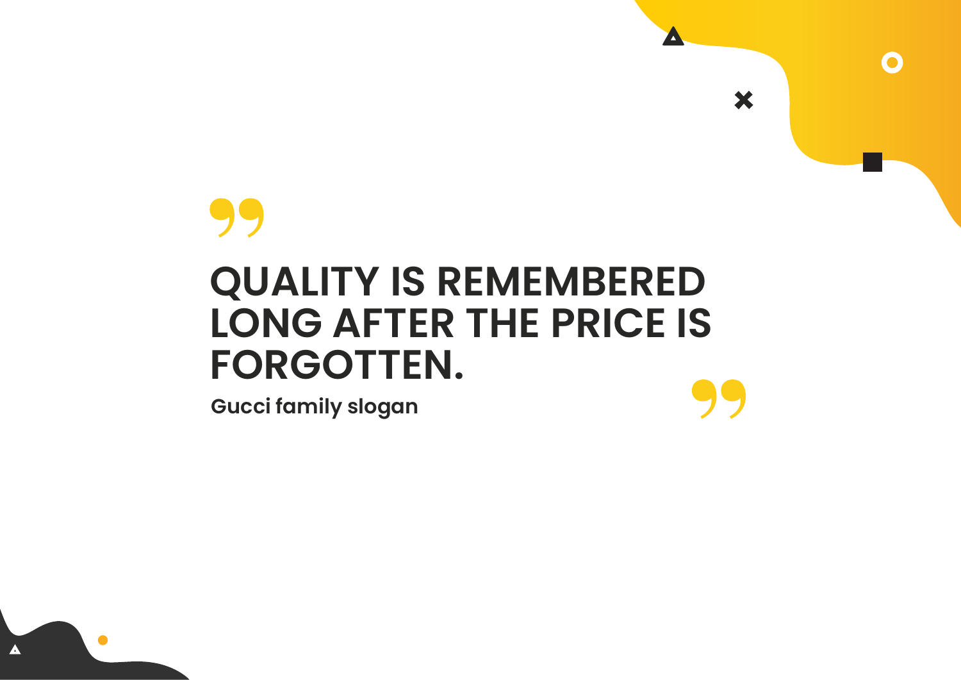# **QUALITY IS REMEMBERED LONG AFTER THE PRICE IS FORGOTTEN.**

W

×

O

**Gucci family slogan**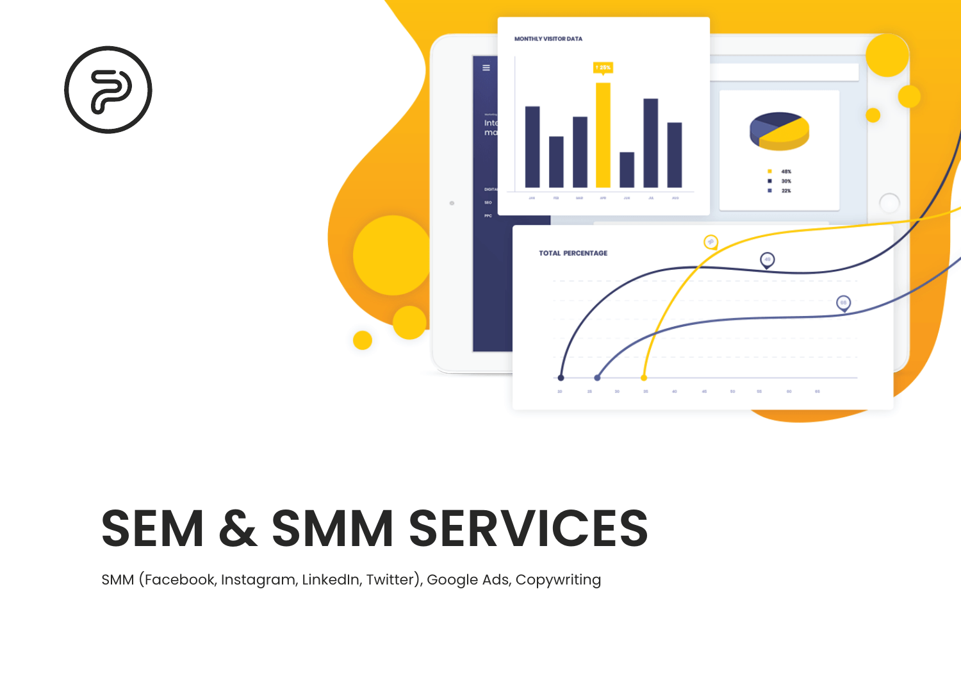

# **SEM & SMM SERVICES**

SMM (Facebook, Instagram, LinkedIn, Twitter), Google Ads, Copywriting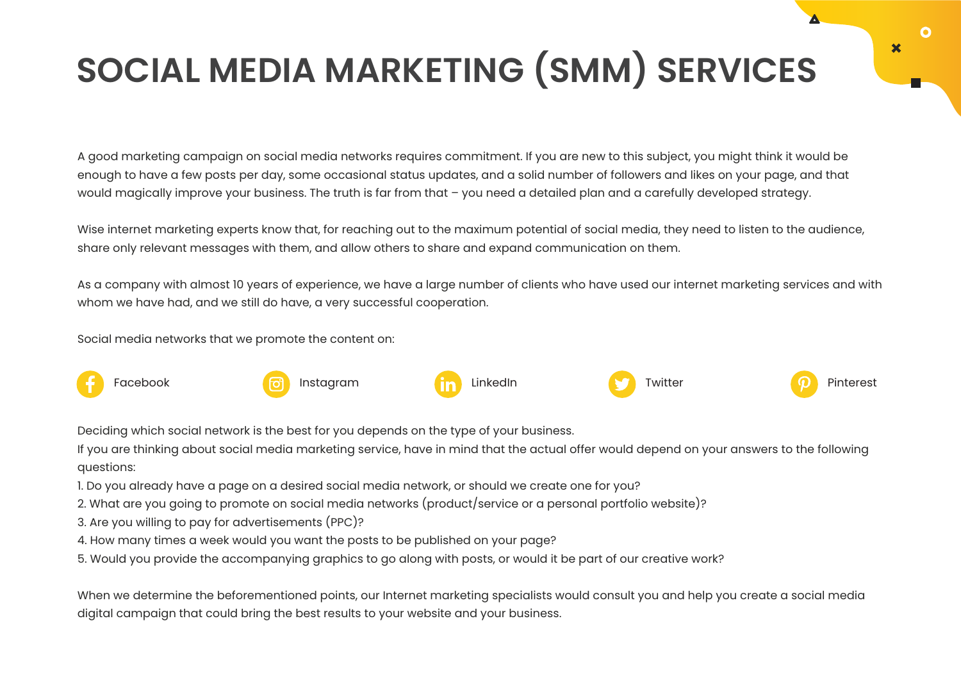# **SOCIAL MEDIA MARKETING (SMM) SERVICES**

A good marketing campaign on social media networks requires commitment. If you are new to this subject, you might think it would be enough to have a few posts per day, some occasional status updates, and a solid number of followers and likes on your page, and that would magically improve your business. The truth is far from that – you need a detailed plan and a carefully developed strategy.

Wise internet marketing experts know that, for reaching out to the maximum potential of social media, they need to listen to the audience, share only relevant messages with them, and allow others to share and expand communication on them.

As a company with almost 10 years of experience, we have a large number of clients who have used our internet marketing services and with whom we have had, and we still do have, a very successful cooperation.

Social media networks that we promote the content on:



Deciding which social network is the best for you depends on the type of your business.

If you are thinking about social media marketing service, have in mind that the actual offer would depend on your answers to the following questions:

- 1. Do you already have a page on a desired social media network, or should we create one for you?
- 2. What are you going to promote on social media networks (product/service or a personal portfolio website)?
- 3. Are you willing to pay for advertisements (PPC)?
- 4. How many times a week would you want the posts to be published on your page?
- 5. Would you provide the accompanying graphics to go along with posts, or would it be part of our creative work?

When we determine the beforementioned points, our Internet marketing specialists would consult you and help you create a social media digital campaign that could bring the best results to your website and your business.

 $\overline{\mathbf{x}}$ 

O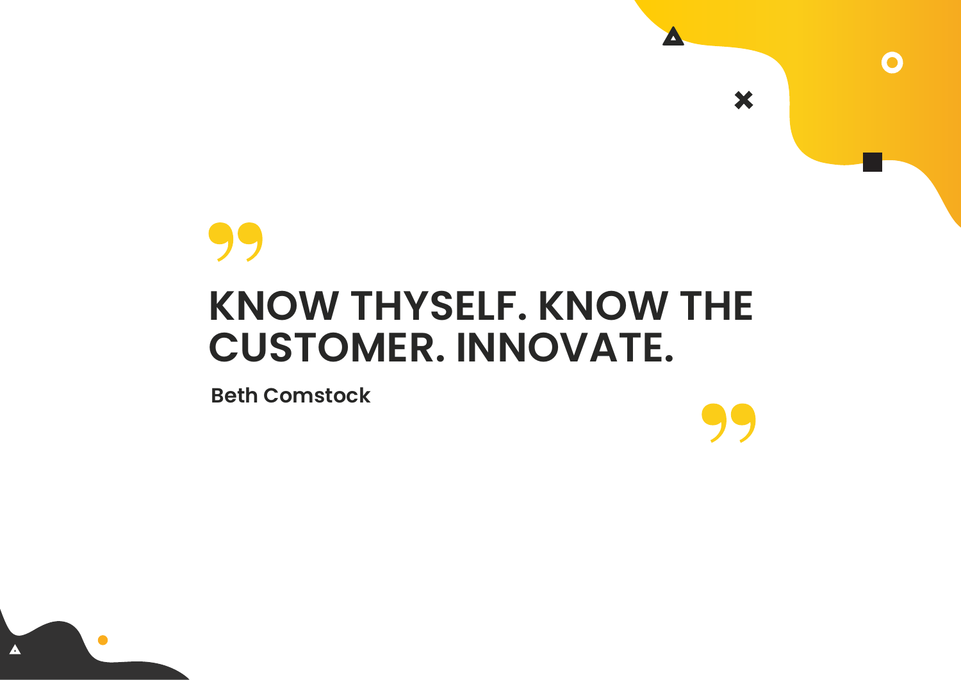# **KNOW THYSELF. KNOW THE CUSTOMER. INNOVATE.**

Z

×

 $\Omega$ 

**Beth Comstock**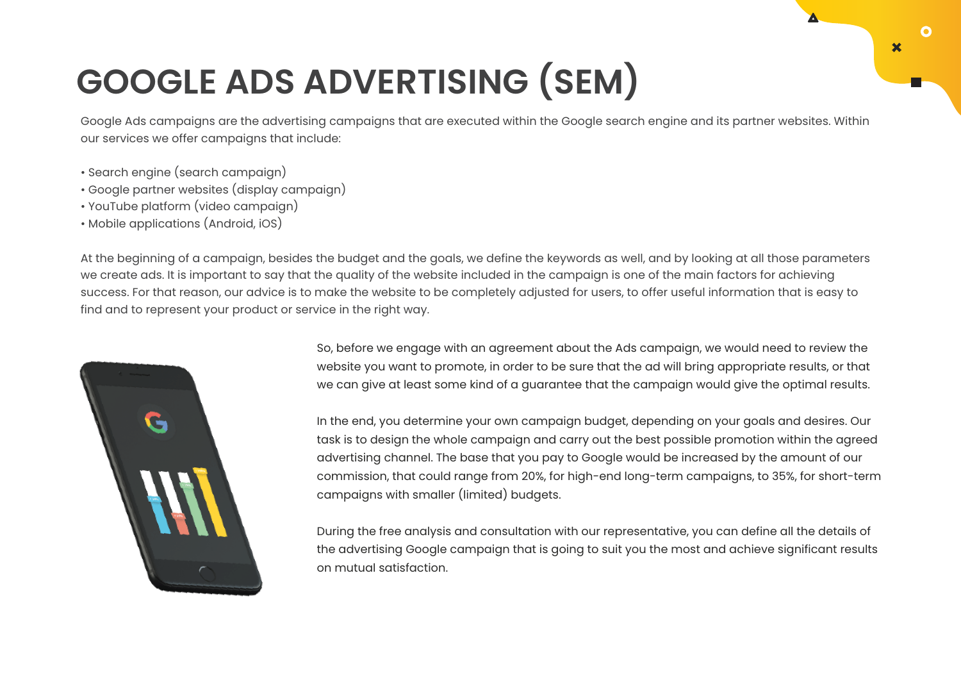# **GOOGLE ADS ADVERTISING (SEM)**

Google Ads campaigns are the advertising campaigns that are executed within the Google search engine and its partner websites. Within our services we offer campaigns that include:

- Search engine (search campaign)
- Google partner websites (display campaign)
- YouTube platform (video campaign)
- Mobile applications (Android, iOS)

At the beginning of a campaign, besides the budget and the goals, we define the keywords as well, and by looking at all those parameters we create ads. It is important to say that the quality of the website included in the campaign is one of the main factors for achieving success. For that reason, our advice is to make the website to be completely adjusted for users, to offer useful information that is easy to find and to represent your product or service in the right way.



So, before we engage with an agreement about the Ads campaign, we would need to review the website you want to promote, in order to be sure that the ad will bring appropriate results, or that we can give at least some kind of a guarantee that the campaign would give the optimal results.

In the end, you determine your own campaign budget, depending on your goals and desires. Our task is to design the whole campaign and carry out the best possible promotion within the agreed advertising channel. The base that you pay to Google would be increased by the amount of our commission, that could range from 20%, for high-end long-term campaigns, to 35%, for short-term campaigns with smaller (limited) budgets.

During the free analysis and consultation with our representative, you can define all the details of the advertising Google campaign that is going to suit you the most and achieve significant results on mutual satisfaction.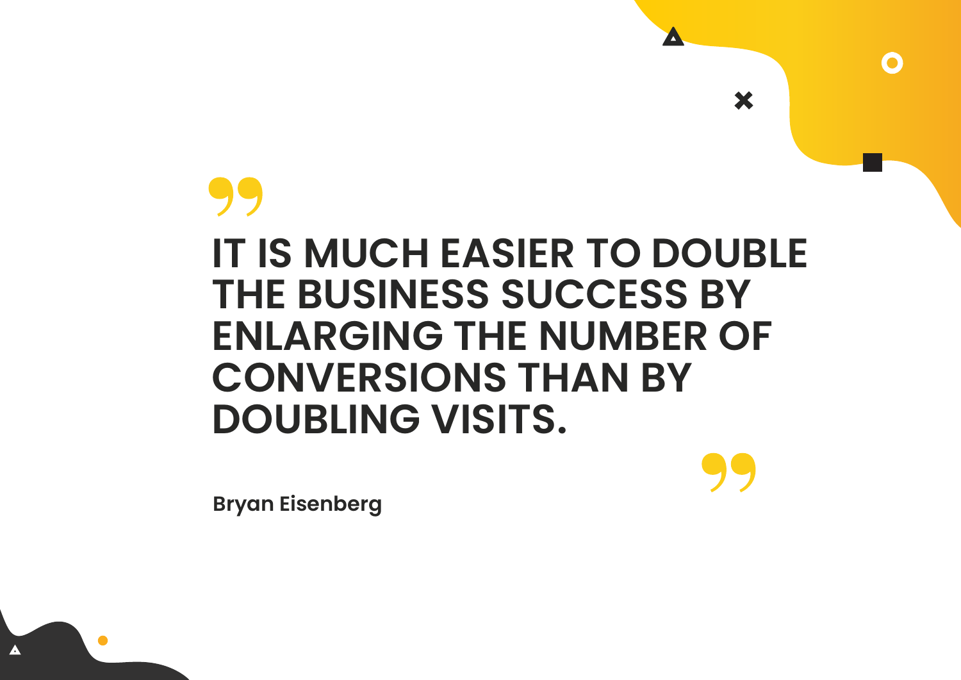# **IT IS MUCH EASIER TO DOUBLE**

# **THE BUSINESS SUCCESS BY ENLARGING THE NUMBER OF CONVERSIONS THAN BY DOUBLING VISITS.**

![](_page_12_Picture_2.jpeg)

×

 $\bigcap$ 

**Bryan Eisenberg**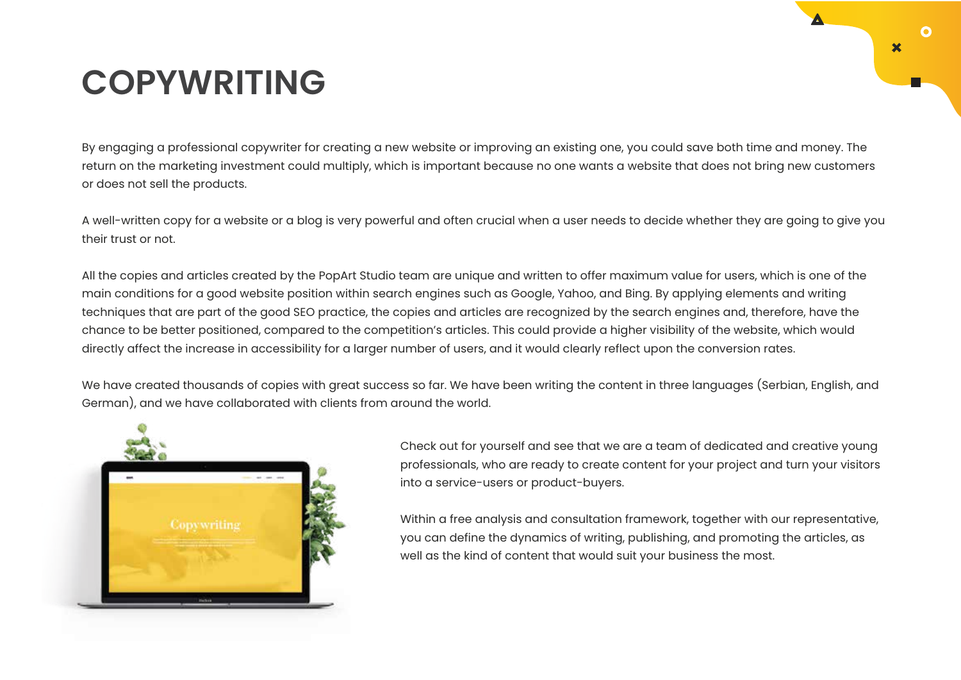## **COPYWRITING**

By engaging a professional copywriter for creating a new website or improving an existing one, you could save both time and money. The return on the marketing investment could multiply, which is important because no one wants a website that does not bring new customers or does not sell the products.

A well-written copy for a website or a blog is very powerful and often crucial when a user needs to decide whether they are going to give you their trust or not.

All the copies and articles created by the PopArt Studio team are unique and written to offer maximum value for users, which is one of the main conditions for a good website position within search engines such as Google, Yahoo, and Bing. By applying elements and writing techniques that are part of the good SEO practice, the copies and articles are recognized by the search engines and, therefore, have the chance to be better positioned, compared to the competition's articles. This could provide a higher visibility of the website, which would directly affect the increase in accessibility for a larger number of users, and it would clearly reflect upon the conversion rates.

We have created thousands of copies with great success so far. We have been writing the content in three languages (Serbian, English, and German), and we have collaborated with clients from around the world.

![](_page_13_Picture_5.jpeg)

Check out for yourself and see that we are a team of dedicated and creative young professionals, who are ready to create content for your project and turn your visitors into a service-users or product-buyers.

Within a free analysis and consultation framework, together with our representative, you can define the dynamics of writing, publishing, and promoting the articles, as well as the kind of content that would suit your business the most.

 $\overline{\mathbf{x}}$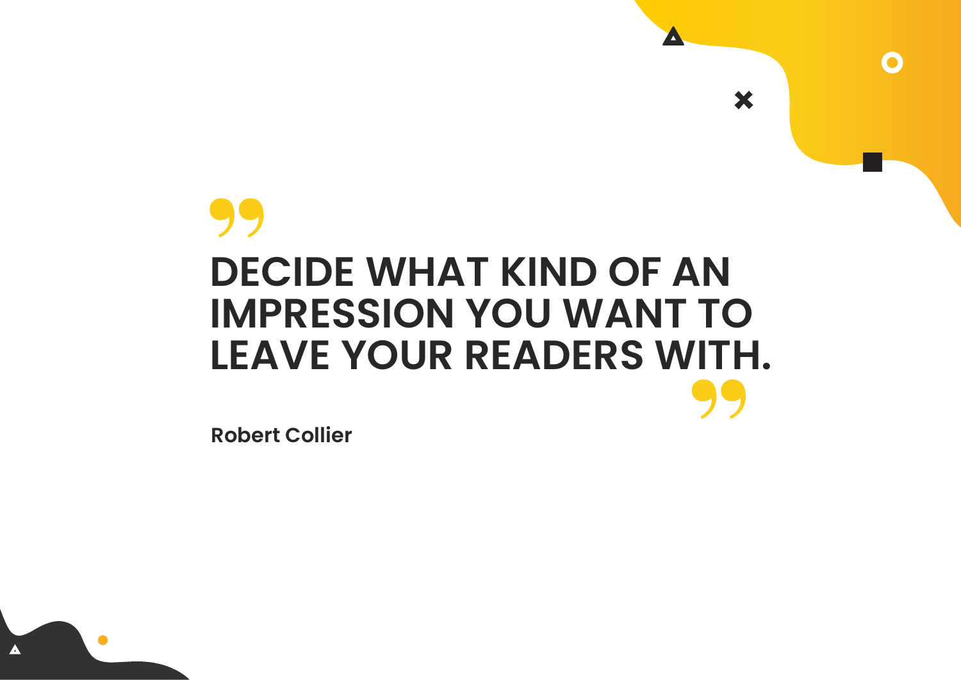# **DECIDE WHAT KIND OF AN IMPRESSION YOU WANT TO LEAVE YOUR READERS WITH.**

 $\bigcap$ 

×

**Robert Collier**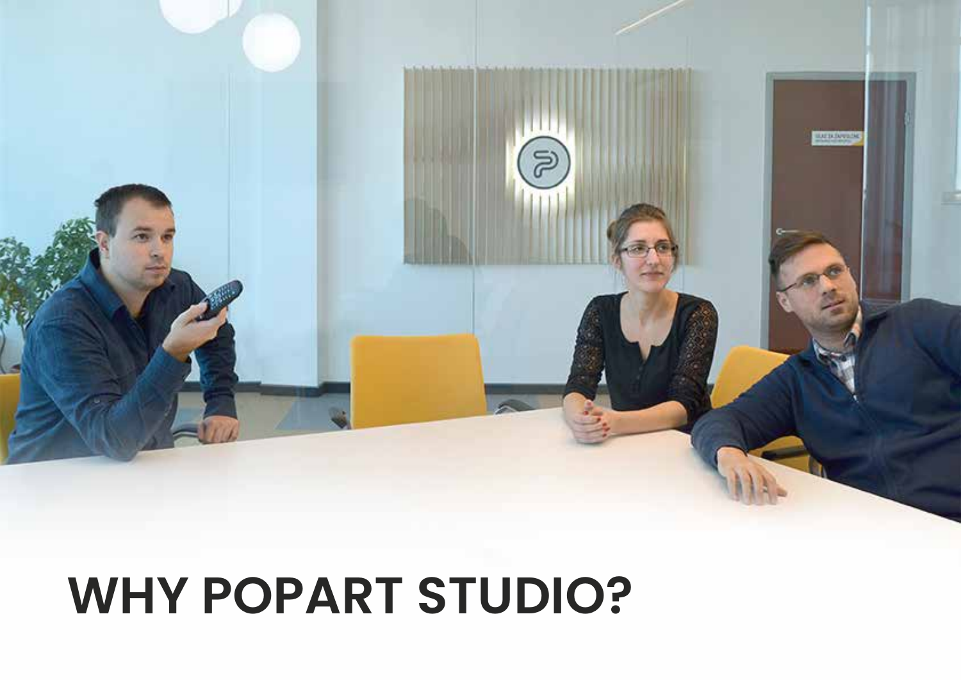# **LINERATOR**

# **WHY POPART STUDIO?**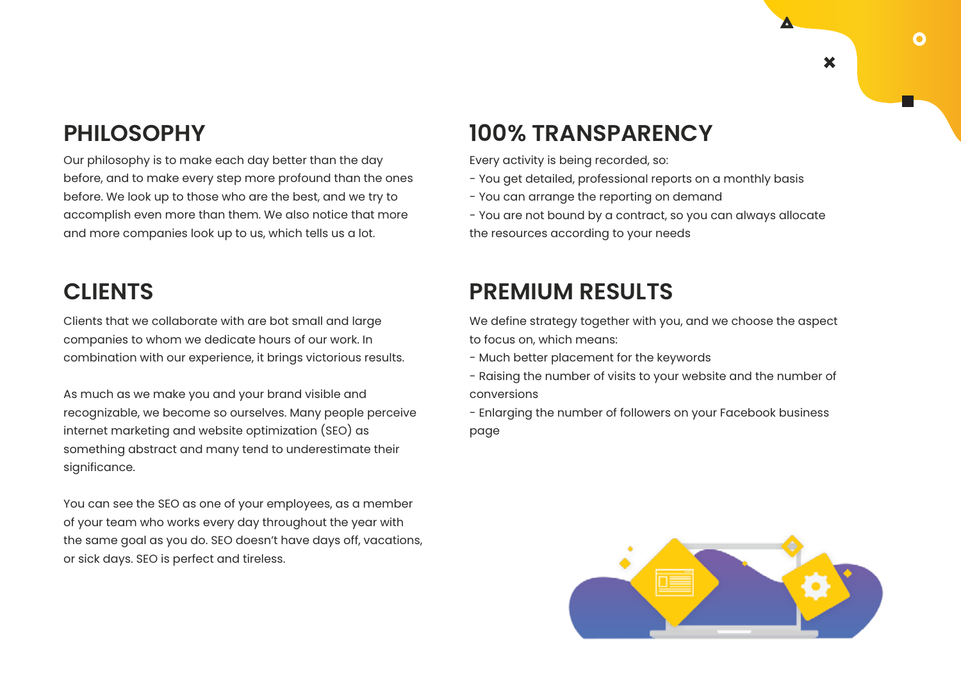## **PHILOSOPHY**

Our philosophy is to make each day better than the day before, and to make every step more profound than the ones before. We look up to those who are the best, and we try to accomplish even more than them. We also notice that more and more companies look up to us, which tells us a lot.

## **CLIENTS**

Clients that we collaborate with are bot small and large companies to whom we dedicate hours of our work. In combination with our experience, it brings victorious results.

As much as we make you and your brand visible and recognizable, we become so ourselves. Many people perceive internet marketing and website optimization (SEO) as something abstract and many tend to underestimate their significance.

You can see the SEO as one of your employees, as a member of your team who works every day throughout the year with the same goal as you do. SEO doesn't have days off, vacations, or sick days. SEO is perfect and tireless.

## **100% TRANSPARENCY**

Every activity is being recorded, so:

- You get detailed, professional reports on a monthly basis
- You can arrange the reporting on demand
- You are not bound by a contract, so you can always allocate the resources according to your needs

## **PREMIUM RESULTS**

We define strategy together with you, and we choose the aspect to focus on, which means:

- Much better placement for the keywords
- Raising the number of visits to your website and the number of conversions

- Enlarging the number of followers on your Facebook business page

![](_page_16_Picture_16.jpeg)

А

 $\overline{\mathbf{x}}$